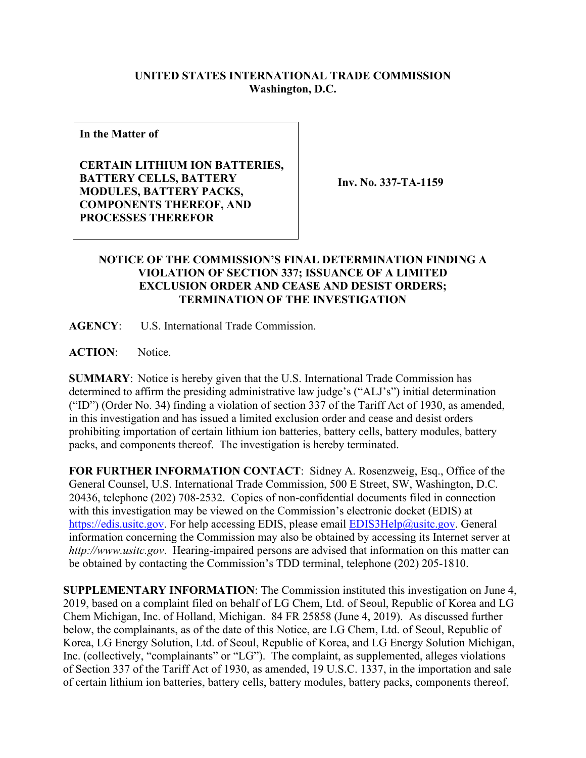## **UNITED STATES INTERNATIONAL TRADE COMMISSION Washington, D.C.**

**In the Matter of**

**CERTAIN LITHIUM ION BATTERIES, BATTERY CELLS, BATTERY MODULES, BATTERY PACKS, COMPONENTS THEREOF, AND PROCESSES THEREFOR**

**Inv. No. 337-TA-1159**

## **NOTICE OF THE COMMISSION'S FINAL DETERMINATION FINDING A VIOLATION OF SECTION 337; ISSUANCE OF A LIMITED EXCLUSION ORDER AND CEASE AND DESIST ORDERS; TERMINATION OF THE INVESTIGATION**

**AGENCY**: U.S. International Trade Commission.

**ACTION**: Notice.

**SUMMARY**: Notice is hereby given that the U.S. International Trade Commission has determined to affirm the presiding administrative law judge's ("ALJ's") initial determination ("ID") (Order No. 34) finding a violation of section 337 of the Tariff Act of 1930, as amended, in this investigation and has issued a limited exclusion order and cease and desist orders prohibiting importation of certain lithium ion batteries, battery cells, battery modules, battery packs, and components thereof. The investigation is hereby terminated.

**FOR FURTHER INFORMATION CONTACT**: Sidney A. Rosenzweig, Esq., Office of the General Counsel, U.S. International Trade Commission, 500 E Street, SW, Washington, D.C. 20436, telephone (202) 708-2532. Copies of non-confidential documents filed in connection with this investigation may be viewed on the Commission's electronic docket (EDIS) at [https://edis.usitc.gov.](https://edis.usitc.gov/) For help accessing EDIS, please email [EDIS3Help@usitc.gov.](mailto:EDIS3Help@usitc.gov) General information concerning the Commission may also be obtained by accessing its Internet server at *http://www.usitc.gov*. Hearing-impaired persons are advised that information on this matter can be obtained by contacting the Commission's TDD terminal, telephone (202) 205-1810.

**SUPPLEMENTARY INFORMATION**: The Commission instituted this investigation on June 4, 2019, based on a complaint filed on behalf of LG Chem, Ltd. of Seoul, Republic of Korea and LG Chem Michigan, Inc. of Holland, Michigan. 84 FR 25858 (June 4, 2019). As discussed further below, the complainants, as of the date of this Notice, are LG Chem, Ltd. of Seoul, Republic of Korea, LG Energy Solution, Ltd. of Seoul, Republic of Korea, and LG Energy Solution Michigan, Inc. (collectively, "complainants" or "LG"). The complaint, as supplemented, alleges violations of Section 337 of the Tariff Act of 1930, as amended, 19 U.S.C. 1337, in the importation and sale of certain lithium ion batteries, battery cells, battery modules, battery packs, components thereof,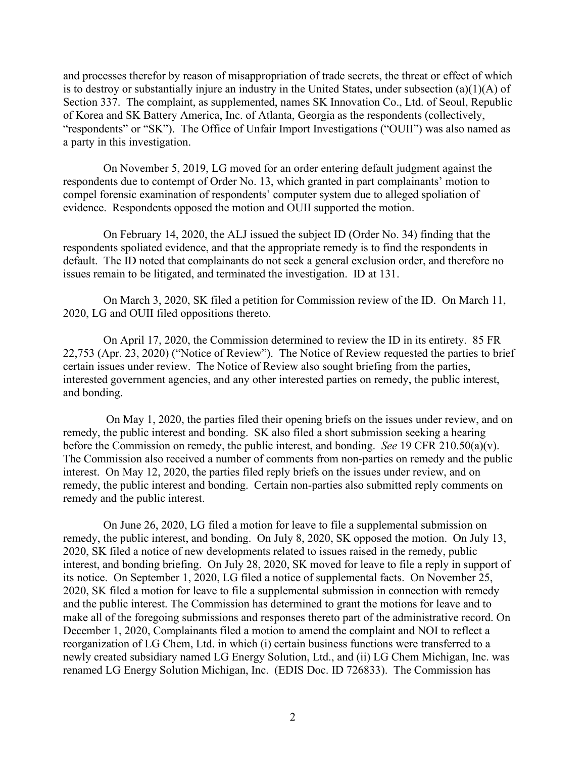and processes therefor by reason of misappropriation of trade secrets, the threat or effect of which is to destroy or substantially injure an industry in the United States, under subsection (a)(1)(A) of Section 337. The complaint, as supplemented, names SK Innovation Co., Ltd. of Seoul, Republic of Korea and SK Battery America, Inc. of Atlanta, Georgia as the respondents (collectively, "respondents" or "SK"). The Office of Unfair Import Investigations ("OUII") was also named as a party in this investigation.

On November 5, 2019, LG moved for an order entering default judgment against the respondents due to contempt of Order No. 13, which granted in part complainants' motion to compel forensic examination of respondents' computer system due to alleged spoliation of evidence. Respondents opposed the motion and OUII supported the motion.

On February 14, 2020, the ALJ issued the subject ID (Order No. 34) finding that the respondents spoliated evidence, and that the appropriate remedy is to find the respondents in default. The ID noted that complainants do not seek a general exclusion order, and therefore no issues remain to be litigated, and terminated the investigation. ID at 131.

On March 3, 2020, SK filed a petition for Commission review of the ID. On March 11, 2020, LG and OUII filed oppositions thereto.

On April 17, 2020, the Commission determined to review the ID in its entirety. 85 FR 22,753 (Apr. 23, 2020) ("Notice of Review"). The Notice of Review requested the parties to brief certain issues under review. The Notice of Review also sought briefing from the parties, interested government agencies, and any other interested parties on remedy, the public interest, and bonding.

On May 1, 2020, the parties filed their opening briefs on the issues under review, and on remedy, the public interest and bonding. SK also filed a short submission seeking a hearing before the Commission on remedy, the public interest, and bonding. *See* 19 CFR 210.50(a)(v). The Commission also received a number of comments from non-parties on remedy and the public interest. On May 12, 2020, the parties filed reply briefs on the issues under review, and on remedy, the public interest and bonding. Certain non-parties also submitted reply comments on remedy and the public interest.

On June 26, 2020, LG filed a motion for leave to file a supplemental submission on remedy, the public interest, and bonding. On July 8, 2020, SK opposed the motion. On July 13, 2020, SK filed a notice of new developments related to issues raised in the remedy, public interest, and bonding briefing. On July 28, 2020, SK moved for leave to file a reply in support of its notice. On September 1, 2020, LG filed a notice of supplemental facts. On November 25, 2020, SK filed a motion for leave to file a supplemental submission in connection with remedy and the public interest. The Commission has determined to grant the motions for leave and to make all of the foregoing submissions and responses thereto part of the administrative record. On December 1, 2020, Complainants filed a motion to amend the complaint and NOI to reflect a reorganization of LG Chem, Ltd. in which (i) certain business functions were transferred to a newly created subsidiary named LG Energy Solution, Ltd., and (ii) LG Chem Michigan, Inc. was renamed LG Energy Solution Michigan, Inc. (EDIS Doc. ID 726833). The Commission has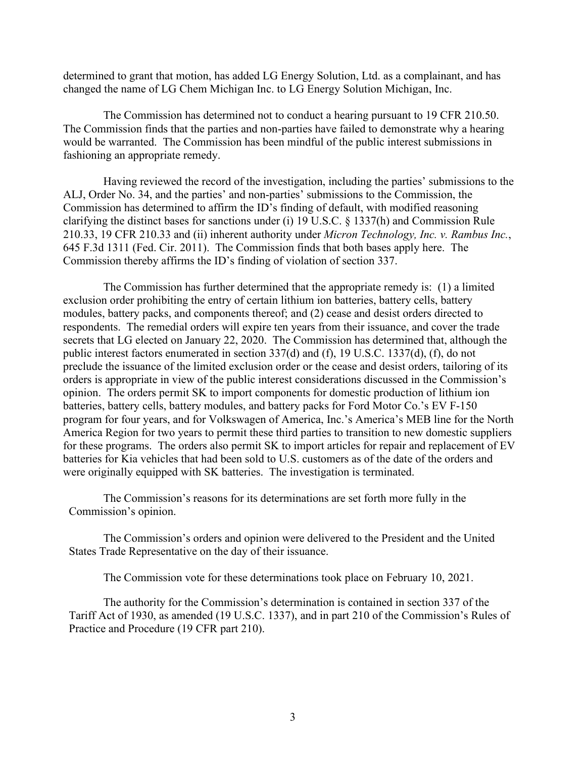determined to grant that motion, has added LG Energy Solution, Ltd. as a complainant, and has changed the name of LG Chem Michigan Inc. to LG Energy Solution Michigan, Inc.

The Commission has determined not to conduct a hearing pursuant to 19 CFR 210.50. The Commission finds that the parties and non-parties have failed to demonstrate why a hearing would be warranted. The Commission has been mindful of the public interest submissions in fashioning an appropriate remedy.

Having reviewed the record of the investigation, including the parties' submissions to the ALJ, Order No. 34, and the parties' and non-parties' submissions to the Commission, the Commission has determined to affirm the ID's finding of default, with modified reasoning clarifying the distinct bases for sanctions under (i) 19 U.S.C. § 1337(h) and Commission Rule 210.33, 19 CFR 210.33 and (ii) inherent authority under *Micron Technology, Inc. v. Rambus Inc.*, 645 F.3d 1311 (Fed. Cir. 2011). The Commission finds that both bases apply here. The Commission thereby affirms the ID's finding of violation of section 337.

The Commission has further determined that the appropriate remedy is: (1) a limited exclusion order prohibiting the entry of certain lithium ion batteries, battery cells, battery modules, battery packs, and components thereof; and (2) cease and desist orders directed to respondents. The remedial orders will expire ten years from their issuance, and cover the trade secrets that LG elected on January 22, 2020. The Commission has determined that, although the public interest factors enumerated in section 337(d) and (f), 19 U.S.C. 1337(d), (f), do not preclude the issuance of the limited exclusion order or the cease and desist orders, tailoring of its orders is appropriate in view of the public interest considerations discussed in the Commission's opinion. The orders permit SK to import components for domestic production of lithium ion batteries, battery cells, battery modules, and battery packs for Ford Motor Co.'s EV F-150 program for four years, and for Volkswagen of America, Inc.'s America's MEB line for the North America Region for two years to permit these third parties to transition to new domestic suppliers for these programs. The orders also permit SK to import articles for repair and replacement of EV batteries for Kia vehicles that had been sold to U.S. customers as of the date of the orders and were originally equipped with SK batteries. The investigation is terminated.

The Commission's reasons for its determinations are set forth more fully in the Commission's opinion.

The Commission's orders and opinion were delivered to the President and the United States Trade Representative on the day of their issuance.

The Commission vote for these determinations took place on February 10, 2021.

The authority for the Commission's determination is contained in section 337 of the Tariff Act of 1930, as amended (19 U.S.C. 1337), and in part 210 of the Commission's Rules of Practice and Procedure (19 CFR part 210).